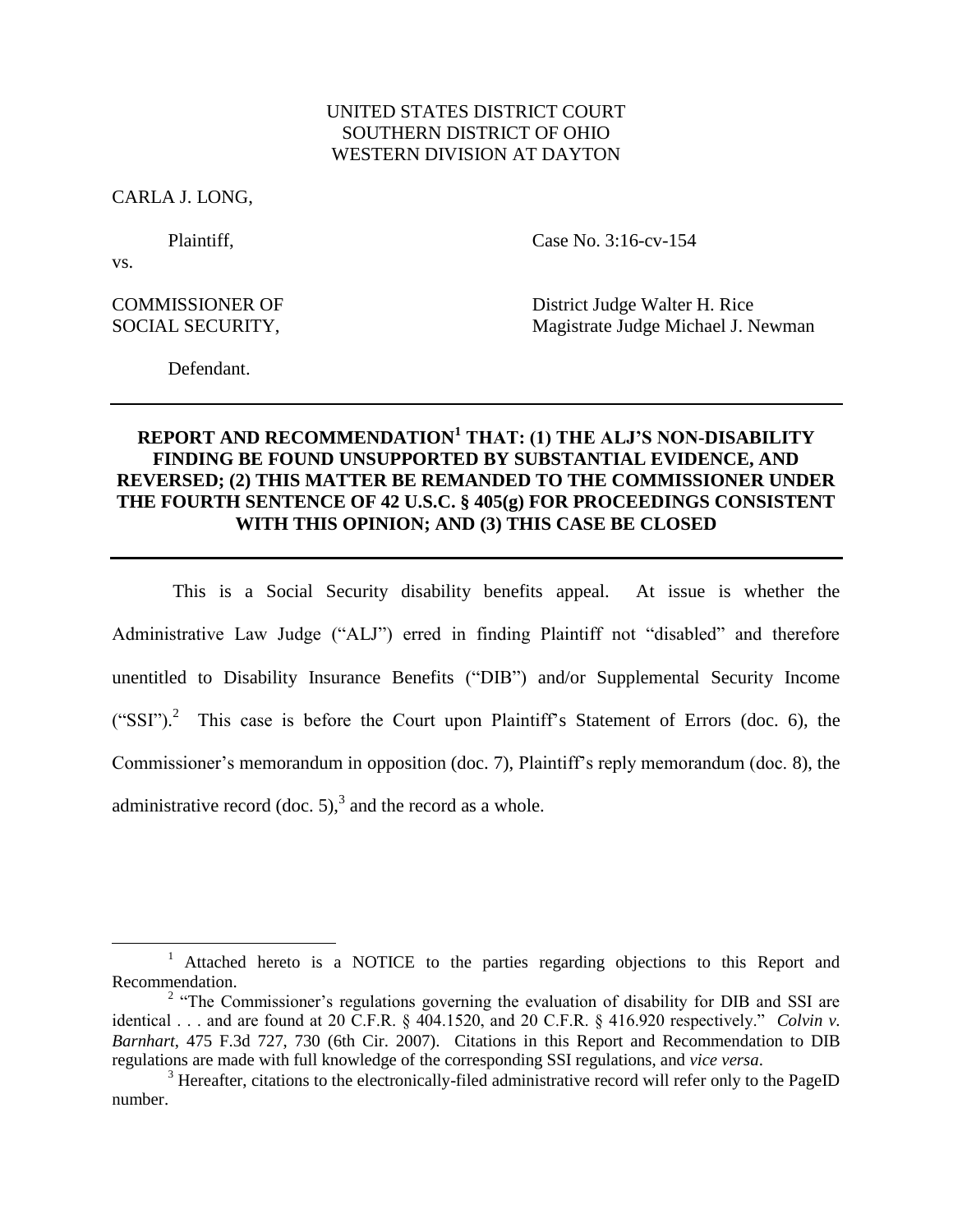## UNITED STATES DISTRICT COURT SOUTHERN DISTRICT OF OHIO WESTERN DIVISION AT DAYTON

CARLA J. LONG,

vs.

 $\overline{a}$ 

Plaintiff, Case No. 3:16-cv-154

COMMISSIONER OF District Judge Walter H. Rice SOCIAL SECURITY, Magistrate Judge Michael J. Newman

Defendant.

## **REPORT AND RECOMMENDATION<sup>1</sup> THAT: (1) THE ALJ'S NON-DISABILITY FINDING BE FOUND UNSUPPORTED BY SUBSTANTIAL EVIDENCE, AND REVERSED; (2) THIS MATTER BE REMANDED TO THE COMMISSIONER UNDER THE FOURTH SENTENCE OF 42 U.S.C. § 405(g) FOR PROCEEDINGS CONSISTENT WITH THIS OPINION; AND (3) THIS CASE BE CLOSED**

This is a Social Security disability benefits appeal. At issue is whether the Administrative Law Judge ("ALJ") erred in finding Plaintiff not "disabled" and therefore unentitled to Disability Insurance Benefits ("DIB") and/or Supplemental Security Income  $("SSI")$ .<sup>2</sup> This case is before the Court upon Plaintiff's Statement of Errors (doc. 6), the Commissioner's memorandum in opposition (doc. 7), Plaintiff's reply memorandum (doc. 8), the administrative record (doc. 5),<sup>3</sup> and the record as a whole.

<sup>&</sup>lt;sup>1</sup> Attached hereto is a NOTICE to the parties regarding objections to this Report and Recommendation.

<sup>&</sup>lt;sup>2</sup> "The Commissioner's regulations governing the evaluation of disability for DIB and SSI are identical . . . and are found at 20 C.F.R. § 404.1520, and 20 C.F.R. § 416.920 respectively." *Colvin v. Barnhart*, 475 F.3d 727, 730 (6th Cir. 2007). Citations in this Report and Recommendation to DIB regulations are made with full knowledge of the corresponding SSI regulations, and *vice versa*.

<sup>&</sup>lt;sup>3</sup> Hereafter, citations to the electronically-filed administrative record will refer only to the PageID number.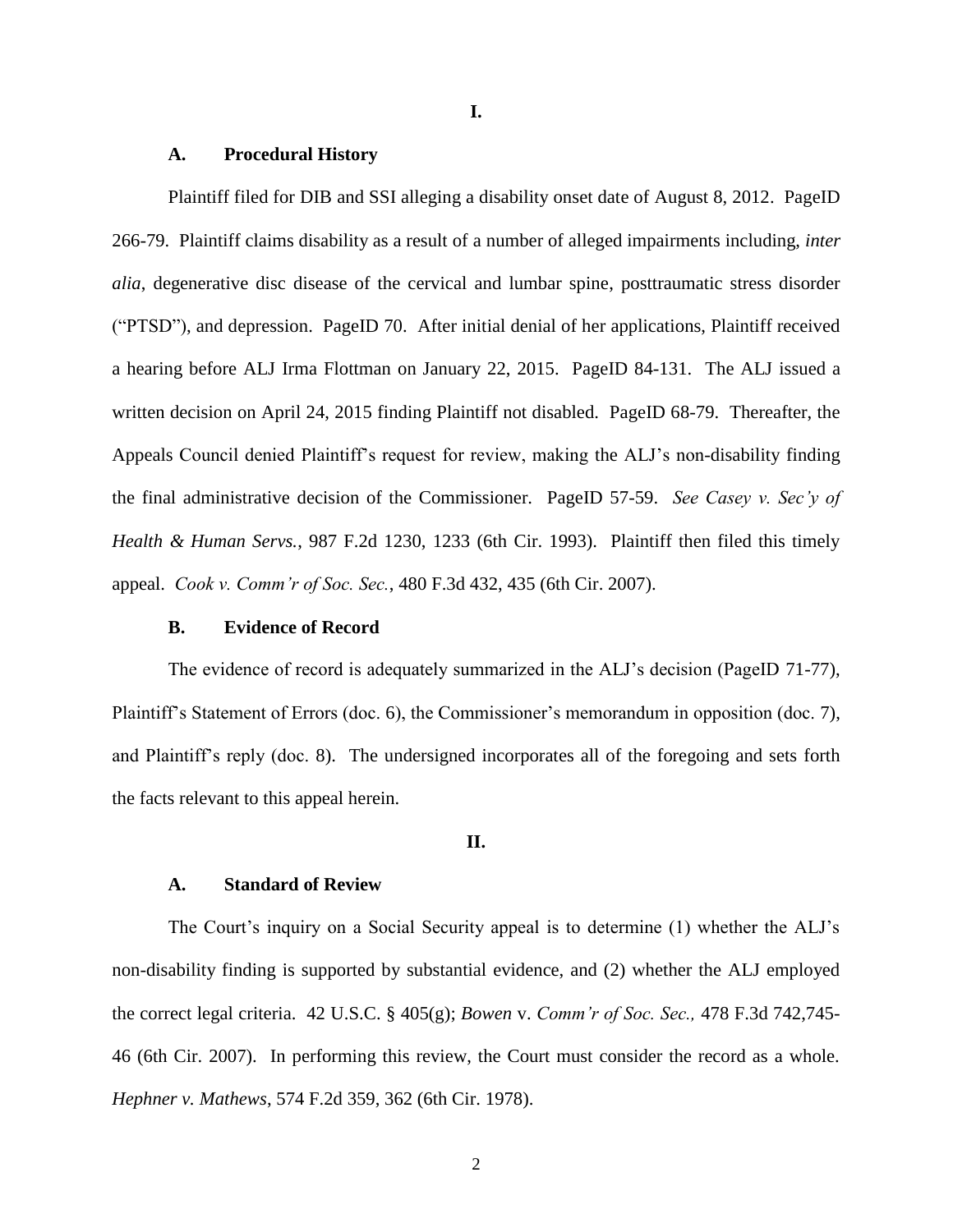### **I.**

### **A. Procedural History**

Plaintiff filed for DIB and SSI alleging a disability onset date of August 8, 2012. PageID 266-79. Plaintiff claims disability as a result of a number of alleged impairments including, *inter alia*, degenerative disc disease of the cervical and lumbar spine, posttraumatic stress disorder ("PTSD"), and depression. PageID 70. After initial denial of her applications, Plaintiff received a hearing before ALJ Irma Flottman on January 22, 2015. PageID 84-131. The ALJ issued a written decision on April 24, 2015 finding Plaintiff not disabled. PageID 68-79. Thereafter, the Appeals Council denied Plaintiff's request for review, making the ALJ's non-disability finding the final administrative decision of the Commissioner. PageID 57-59. *See Casey v. Sec'y of Health & Human Servs.*, 987 F.2d 1230, 1233 (6th Cir. 1993). Plaintiff then filed this timely appeal. *Cook v. Comm'r of Soc. Sec.*, 480 F.3d 432, 435 (6th Cir. 2007).

### **B. Evidence of Record**

The evidence of record is adequately summarized in the ALJ's decision (PageID 71-77), Plaintiff's Statement of Errors (doc. 6), the Commissioner's memorandum in opposition (doc. 7), and Plaintiff's reply (doc. 8). The undersigned incorporates all of the foregoing and sets forth the facts relevant to this appeal herein.

#### **II.**

### **A. Standard of Review**

The Court's inquiry on a Social Security appeal is to determine (1) whether the ALJ's non-disability finding is supported by substantial evidence, and (2) whether the ALJ employed the correct legal criteria. 42 U.S.C. § 405(g); *Bowen* v. *Comm'r of Soc. Sec.,* 478 F.3d 742,745- 46 (6th Cir. 2007). In performing this review, the Court must consider the record as a whole. *Hephner v. Mathews*, 574 F.2d 359, 362 (6th Cir. 1978).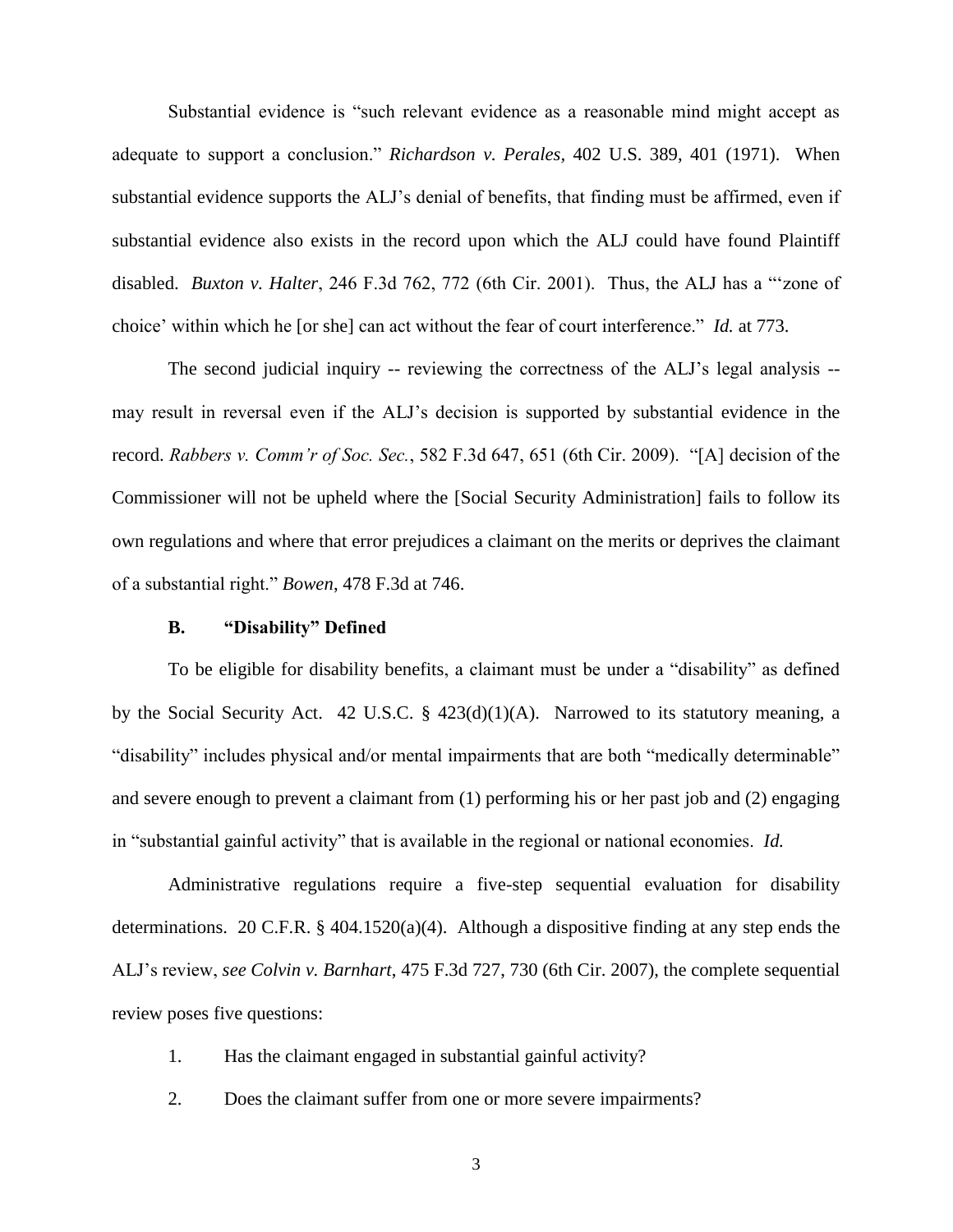Substantial evidence is "such relevant evidence as a reasonable mind might accept as adequate to support a conclusion." *Richardson v. Perales,* 402 U.S. 389, 401 (1971). When substantial evidence supports the ALJ's denial of benefits, that finding must be affirmed, even if substantial evidence also exists in the record upon which the ALJ could have found Plaintiff disabled. *Buxton v. Halter*, 246 F.3d 762, 772 (6th Cir. 2001). Thus, the ALJ has a "'zone of choice' within which he [or she] can act without the fear of court interference." *Id.* at 773.

The second judicial inquiry -- reviewing the correctness of the ALJ's legal analysis - may result in reversal even if the ALJ's decision is supported by substantial evidence in the record. *Rabbers v. Comm'r of Soc. Sec.*, 582 F.3d 647, 651 (6th Cir. 2009). "[A] decision of the Commissioner will not be upheld where the [Social Security Administration] fails to follow its own regulations and where that error prejudices a claimant on the merits or deprives the claimant of a substantial right." *Bowen*, 478 F.3d at 746.

### **B. "Disability" Defined**

To be eligible for disability benefits, a claimant must be under a "disability" as defined by the Social Security Act. 42 U.S.C. § 423(d)(1)(A). Narrowed to its statutory meaning, a "disability" includes physical and/or mental impairments that are both "medically determinable" and severe enough to prevent a claimant from (1) performing his or her past job and (2) engaging in "substantial gainful activity" that is available in the regional or national economies. *Id.*

Administrative regulations require a five-step sequential evaluation for disability determinations. 20 C.F.R. § 404.1520(a)(4). Although a dispositive finding at any step ends the ALJ's review, *see Colvin v. Barnhart*, 475 F.3d 727, 730 (6th Cir. 2007), the complete sequential review poses five questions:

- 1. Has the claimant engaged in substantial gainful activity?
- 2. Does the claimant suffer from one or more severe impairments?
	- 3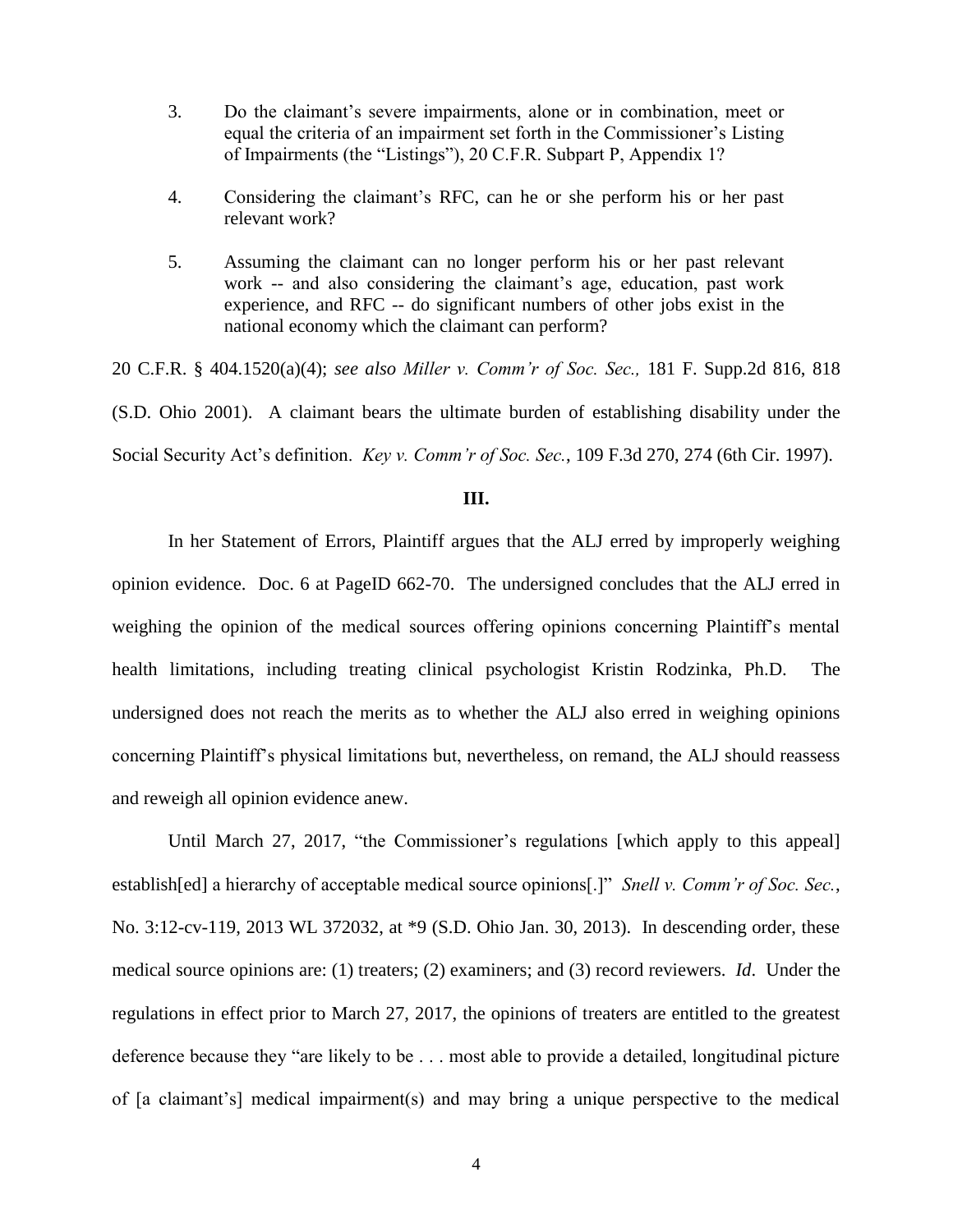- 3. Do the claimant's severe impairments, alone or in combination, meet or equal the criteria of an impairment set forth in the Commissioner's Listing of Impairments (the "Listings"), 20 C.F.R. Subpart P, Appendix 1?
- 4. Considering the claimant's RFC, can he or she perform his or her past relevant work?
- 5. Assuming the claimant can no longer perform his or her past relevant work -- and also considering the claimant's age, education, past work experience, and RFC -- do significant numbers of other jobs exist in the national economy which the claimant can perform?

20 C.F.R. § 404.1520(a)(4); *see also Miller v. Comm'r of Soc. Sec.,* 181 F. Supp.2d 816, 818 (S.D. Ohio 2001). A claimant bears the ultimate burden of establishing disability under the Social Security Act's definition. *Key v. Comm'r of Soc. Sec.*, 109 F.3d 270, 274 (6th Cir. 1997).

### **III.**

In her Statement of Errors, Plaintiff argues that the ALJ erred by improperly weighing opinion evidence. Doc. 6 at PageID 662-70. The undersigned concludes that the ALJ erred in weighing the opinion of the medical sources offering opinions concerning Plaintiff's mental health limitations, including treating clinical psychologist Kristin Rodzinka, Ph.D. The undersigned does not reach the merits as to whether the ALJ also erred in weighing opinions concerning Plaintiff's physical limitations but, nevertheless, on remand, the ALJ should reassess and reweigh all opinion evidence anew.

Until March 27, 2017, "the Commissioner's regulations [which apply to this appeal] establish[ed] a hierarchy of acceptable medical source opinions[.]" *Snell v. Comm'r of Soc. Sec.*, No. 3:12-cv-119, 2013 WL 372032, at \*9 (S.D. Ohio Jan. 30, 2013). In descending order, these medical source opinions are: (1) treaters; (2) examiners; and (3) record reviewers. *Id*. Under the regulations in effect prior to March 27, 2017, the opinions of treaters are entitled to the greatest deference because they "are likely to be . . . most able to provide a detailed, longitudinal picture of [a claimant's] medical impairment(s) and may bring a unique perspective to the medical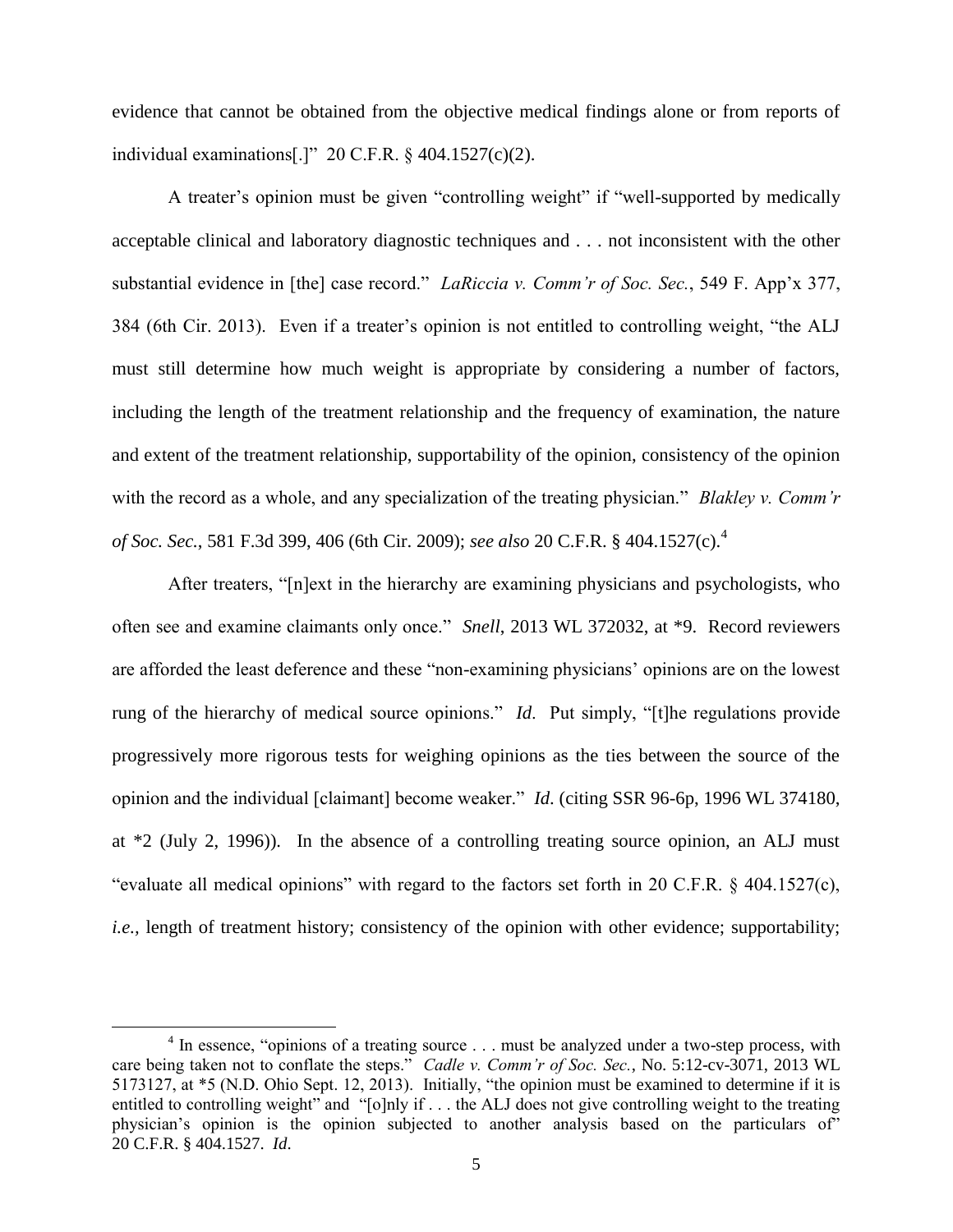evidence that cannot be obtained from the objective medical findings alone or from reports of individual examinations[.]" 20 C.F.R. § 404.1527(c)(2).

A treater's opinion must be given "controlling weight" if "well-supported by medically acceptable clinical and laboratory diagnostic techniques and . . . not inconsistent with the other substantial evidence in [the] case record." *LaRiccia v. Comm'r of Soc. Sec.*, 549 F. App'x 377, 384 (6th Cir. 2013). Even if a treater's opinion is not entitled to controlling weight, "the ALJ must still determine how much weight is appropriate by considering a number of factors, including the length of the treatment relationship and the frequency of examination, the nature and extent of the treatment relationship, supportability of the opinion, consistency of the opinion with the record as a whole, and any specialization of the treating physician." *Blakley v. Comm'r of Soc. Sec.*, 581 F.3d 399, 406 (6th Cir. 2009); *see also* 20 C.F.R. § 404.1527(c).<sup>4</sup>

After treaters, "[n]ext in the hierarchy are examining physicians and psychologists, who often see and examine claimants only once." *Snell*, 2013 WL 372032, at \*9. Record reviewers are afforded the least deference and these "non-examining physicians' opinions are on the lowest rung of the hierarchy of medical source opinions." *Id*. Put simply, "[t]he regulations provide progressively more rigorous tests for weighing opinions as the ties between the source of the opinion and the individual [claimant] become weaker." *Id*. (citing SSR 96-6p, 1996 WL 374180, at \*2 (July 2, 1996)). In the absence of a controlling treating source opinion, an ALJ must "evaluate all medical opinions" with regard to the factors set forth in 20 C.F.R. § 404.1527(c), *i.e.*, length of treatment history; consistency of the opinion with other evidence; supportability;

 $\overline{\phantom{a}}$ 

<sup>&</sup>lt;sup>4</sup> In essence, "opinions of a treating source . . . must be analyzed under a two-step process, with care being taken not to conflate the steps." *Cadle v. Comm'r of Soc. Sec.*, No. 5:12-cv-3071, 2013 WL 5173127, at \*5 (N.D. Ohio Sept. 12, 2013). Initially, "the opinion must be examined to determine if it is entitled to controlling weight" and "[o]nly if . . . the ALJ does not give controlling weight to the treating physician's opinion is the opinion subjected to another analysis based on the particulars of" 20 C.F.R. § 404.1527. *Id*.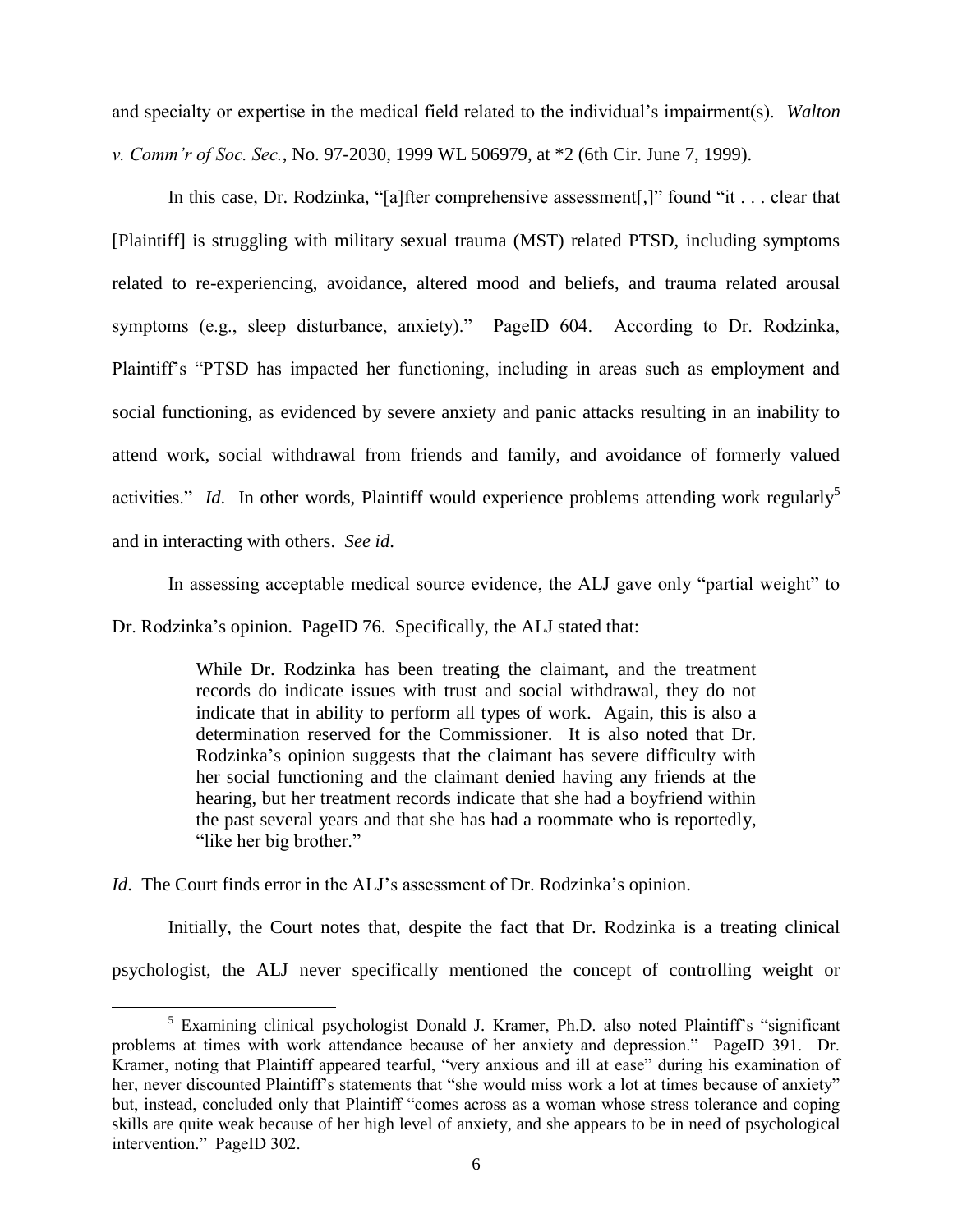and specialty or expertise in the medical field related to the individual's impairment(s). *Walton v. Comm'r of Soc. Sec.*, No. 97-2030, 1999 WL 506979, at \*2 (6th Cir. June 7, 1999).

In this case, Dr. Rodzinka, "[a]fter comprehensive assessment[,]" found "it . . . clear that [Plaintiff] is struggling with military sexual trauma (MST) related PTSD, including symptoms related to re-experiencing, avoidance, altered mood and beliefs, and trauma related arousal symptoms (e.g., sleep disturbance, anxiety)." PageID 604. According to Dr. Rodzinka, Plaintiff's "PTSD has impacted her functioning, including in areas such as employment and social functioning, as evidenced by severe anxiety and panic attacks resulting in an inability to attend work, social withdrawal from friends and family, and avoidance of formerly valued activities." *Id*. In other words, Plaintiff would experience problems attending work regularly<sup>5</sup> and in interacting with others. *See id*.

In assessing acceptable medical source evidence, the ALJ gave only "partial weight" to Dr. Rodzinka's opinion. PageID 76. Specifically, the ALJ stated that:

> While Dr. Rodzinka has been treating the claimant, and the treatment records do indicate issues with trust and social withdrawal, they do not indicate that in ability to perform all types of work. Again, this is also a determination reserved for the Commissioner. It is also noted that Dr. Rodzinka's opinion suggests that the claimant has severe difficulty with her social functioning and the claimant denied having any friends at the hearing, but her treatment records indicate that she had a boyfriend within the past several years and that she has had a roommate who is reportedly, "like her big brother."

*Id.* The Court finds error in the ALJ's assessment of Dr. Rodzinka's opinion.

 $\overline{\phantom{a}}$ 

Initially, the Court notes that, despite the fact that Dr. Rodzinka is a treating clinical psychologist, the ALJ never specifically mentioned the concept of controlling weight or

 $5$  Examining clinical psychologist Donald J. Kramer, Ph.D. also noted Plaintiff's "significant" problems at times with work attendance because of her anxiety and depression." PageID 391. Dr. Kramer, noting that Plaintiff appeared tearful, "very anxious and ill at ease" during his examination of her, never discounted Plaintiff's statements that "she would miss work a lot at times because of anxiety" but, instead, concluded only that Plaintiff "comes across as a woman whose stress tolerance and coping skills are quite weak because of her high level of anxiety, and she appears to be in need of psychological intervention." PageID 302.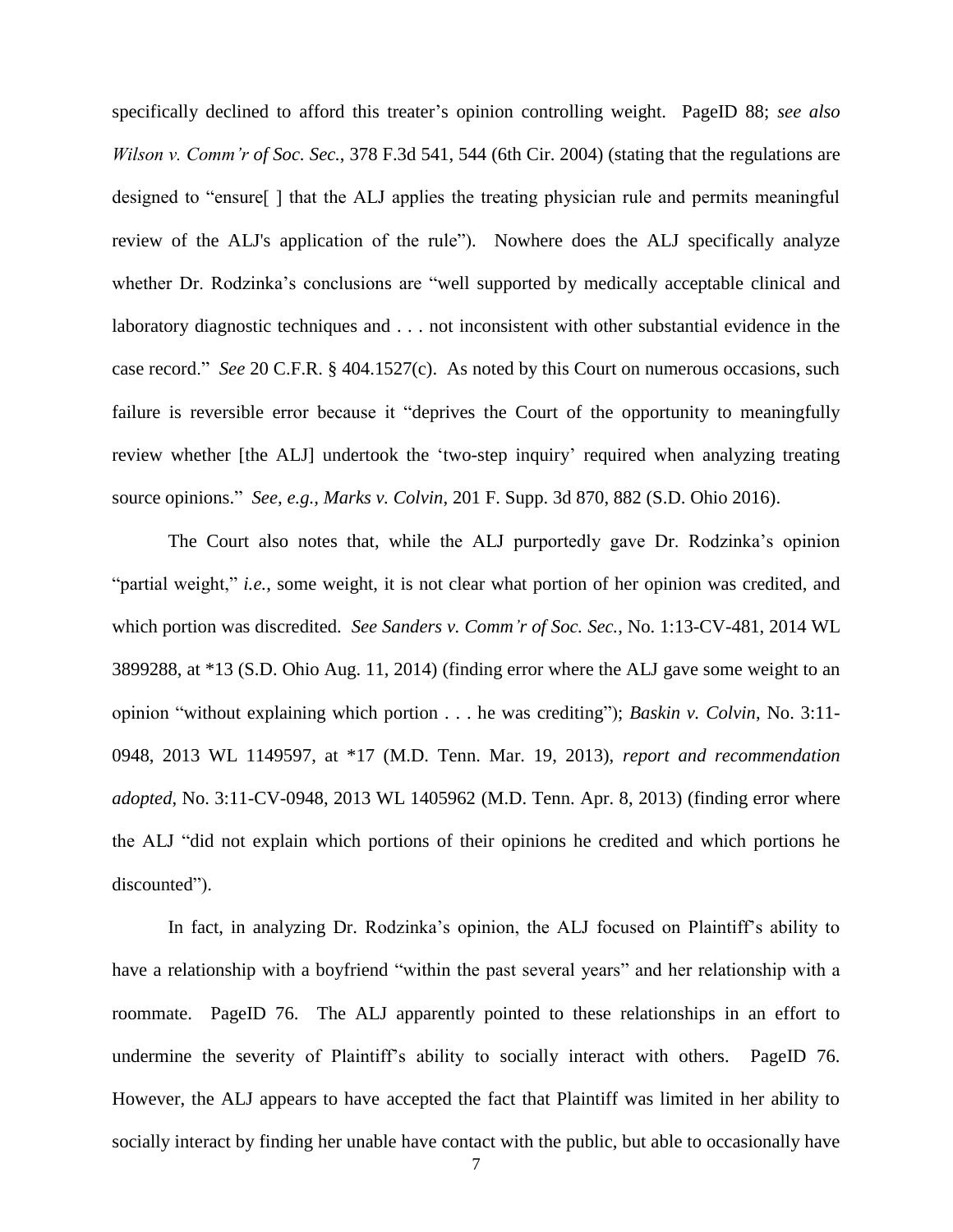specifically declined to afford this treater's opinion controlling weight. PageID 88; *see also Wilson v. Comm'r of Soc. Sec.*, 378 F.3d 541, 544 (6th Cir. 2004) (stating that the regulations are designed to "ensure[ ] that the ALJ applies the treating physician rule and permits meaningful review of the ALJ's application of the rule"). Nowhere does the ALJ specifically analyze whether Dr. Rodzinka's conclusions are "well supported by medically acceptable clinical and laboratory diagnostic techniques and . . . not inconsistent with other substantial evidence in the case record." *See* 20 C.F.R. § 404.1527(c). As noted by this Court on numerous occasions, such failure is reversible error because it "deprives the Court of the opportunity to meaningfully review whether [the ALJ] undertook the 'two-step inquiry' required when analyzing treating source opinions." *See, e.g., Marks v. Colvin*, 201 F. Supp. 3d 870, 882 (S.D. Ohio 2016).

The Court also notes that, while the ALJ purportedly gave Dr. Rodzinka's opinion "partial weight," *i.e.*, some weight, it is not clear what portion of her opinion was credited, and which portion was discredited. *See Sanders v. Comm'r of Soc. Sec.*, No. 1:13-CV-481, 2014 WL 3899288, at \*13 (S.D. Ohio Aug. 11, 2014) (finding error where the ALJ gave some weight to an opinion "without explaining which portion . . . he was crediting"); *Baskin v. Colvin*, No. 3:11- 0948, 2013 WL 1149597, at \*17 (M.D. Tenn. Mar. 19, 2013), *report and recommendation adopted*, No. 3:11-CV-0948, 2013 WL 1405962 (M.D. Tenn. Apr. 8, 2013) (finding error where the ALJ "did not explain which portions of their opinions he credited and which portions he discounted").

In fact, in analyzing Dr. Rodzinka's opinion, the ALJ focused on Plaintiff's ability to have a relationship with a boyfriend "within the past several years" and her relationship with a roommate. PageID 76. The ALJ apparently pointed to these relationships in an effort to undermine the severity of Plaintiff's ability to socially interact with others. PageID 76. However, the ALJ appears to have accepted the fact that Plaintiff was limited in her ability to socially interact by finding her unable have contact with the public, but able to occasionally have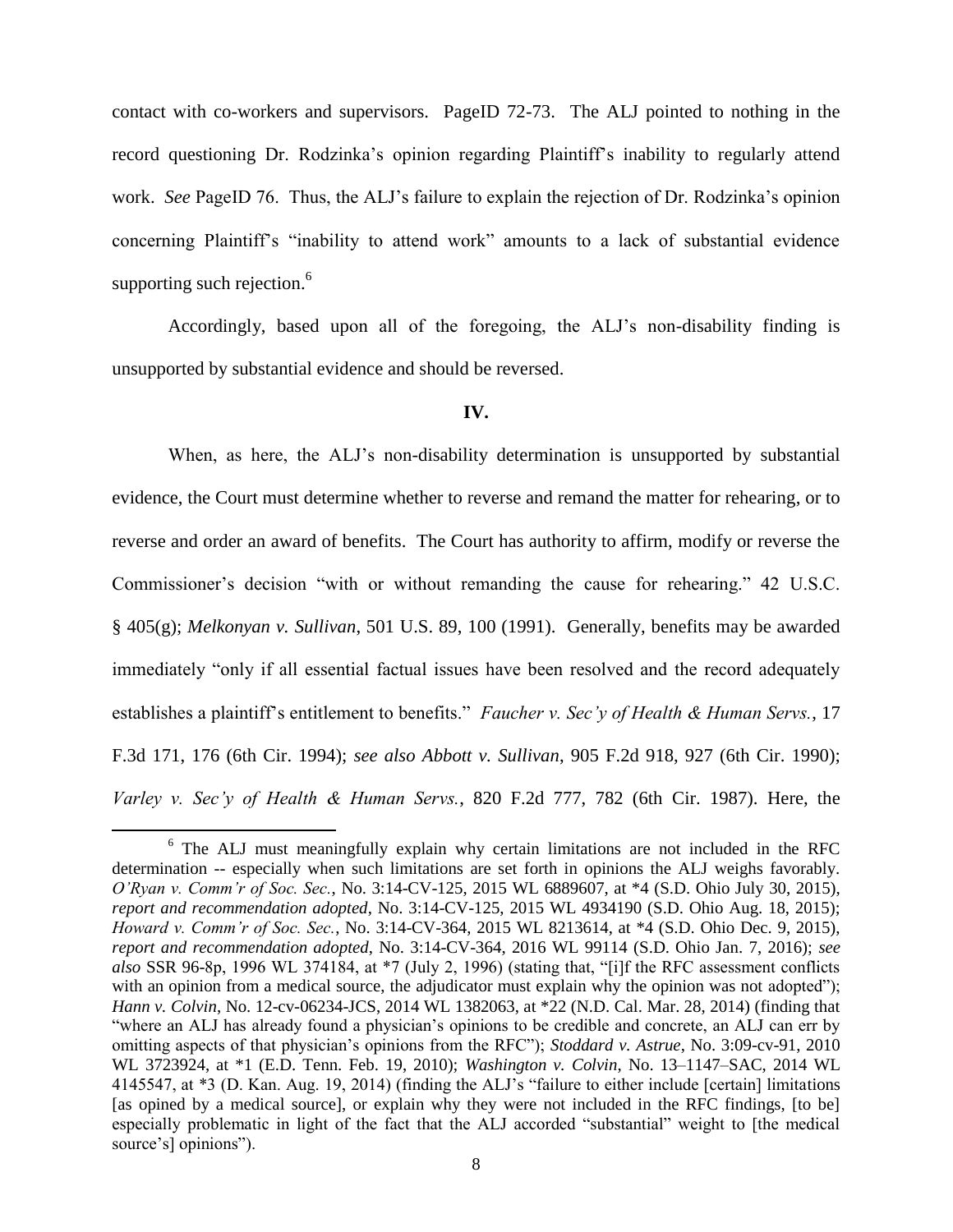contact with co-workers and supervisors. PageID 72-73. The ALJ pointed to nothing in the record questioning Dr. Rodzinka's opinion regarding Plaintiff's inability to regularly attend work. *See* PageID 76. Thus, the ALJ's failure to explain the rejection of Dr. Rodzinka's opinion concerning Plaintiff's "inability to attend work" amounts to a lack of substantial evidence supporting such rejection.<sup>6</sup>

Accordingly, based upon all of the foregoing, the ALJ's non-disability finding is unsupported by substantial evidence and should be reversed.

#### **IV.**

When, as here, the ALJ's non-disability determination is unsupported by substantial evidence, the Court must determine whether to reverse and remand the matter for rehearing, or to reverse and order an award of benefits. The Court has authority to affirm, modify or reverse the Commissioner's decision "with or without remanding the cause for rehearing." 42 U.S.C. § 405(g); *Melkonyan v. Sullivan*, 501 U.S. 89, 100 (1991). Generally, benefits may be awarded immediately "only if all essential factual issues have been resolved and the record adequately establishes a plaintiff's entitlement to benefits." *Faucher v. Sec'y of Health & Human Servs.*, 17 F.3d 171, 176 (6th Cir. 1994); *see also Abbott v. Sullivan*, 905 F.2d 918, 927 (6th Cir. 1990); *Varley v. Sec'y of Health & Human Servs.*, 820 F.2d 777, 782 (6th Cir. 1987). Here, the

l <sup>6</sup> The ALJ must meaningfully explain why certain limitations are not included in the RFC determination -- especially when such limitations are set forth in opinions the ALJ weighs favorably. *O'Ryan v. Comm'r of Soc. Sec.*, No. 3:14-CV-125, 2015 WL 6889607, at \*4 (S.D. Ohio July 30, 2015), *report and recommendation adopted*, No. 3:14-CV-125, 2015 WL 4934190 (S.D. Ohio Aug. 18, 2015); *Howard v. Comm'r of Soc. Sec.*, No. 3:14-CV-364, 2015 WL 8213614, at \*4 (S.D. Ohio Dec. 9, 2015), *report and recommendation adopted*, No. 3:14-CV-364, 2016 WL 99114 (S.D. Ohio Jan. 7, 2016); *see also* SSR 96-8p, 1996 WL 374184, at \*7 (July 2, 1996) (stating that, "[i]f the RFC assessment conflicts with an opinion from a medical source, the adjudicator must explain why the opinion was not adopted"); *Hann v. Colvin*, No. 12-cv-06234-JCS, 2014 WL 1382063, at \*22 (N.D. Cal. Mar. 28, 2014) (finding that "where an ALJ has already found a physician's opinions to be credible and concrete, an ALJ can err by omitting aspects of that physician's opinions from the RFC"); *Stoddard v. Astrue*, No. 3:09-cv-91, 2010 WL 3723924, at \*1 (E.D. Tenn. Feb. 19, 2010); *Washington v. Colvin*, No. 13–1147–SAC, 2014 WL 4145547, at \*3 (D. Kan. Aug. 19, 2014) (finding the ALJ's "failure to either include [certain] limitations [as opined by a medical source], or explain why they were not included in the RFC findings, [to be] especially problematic in light of the fact that the ALJ accorded "substantial" weight to [the medical source's] opinions").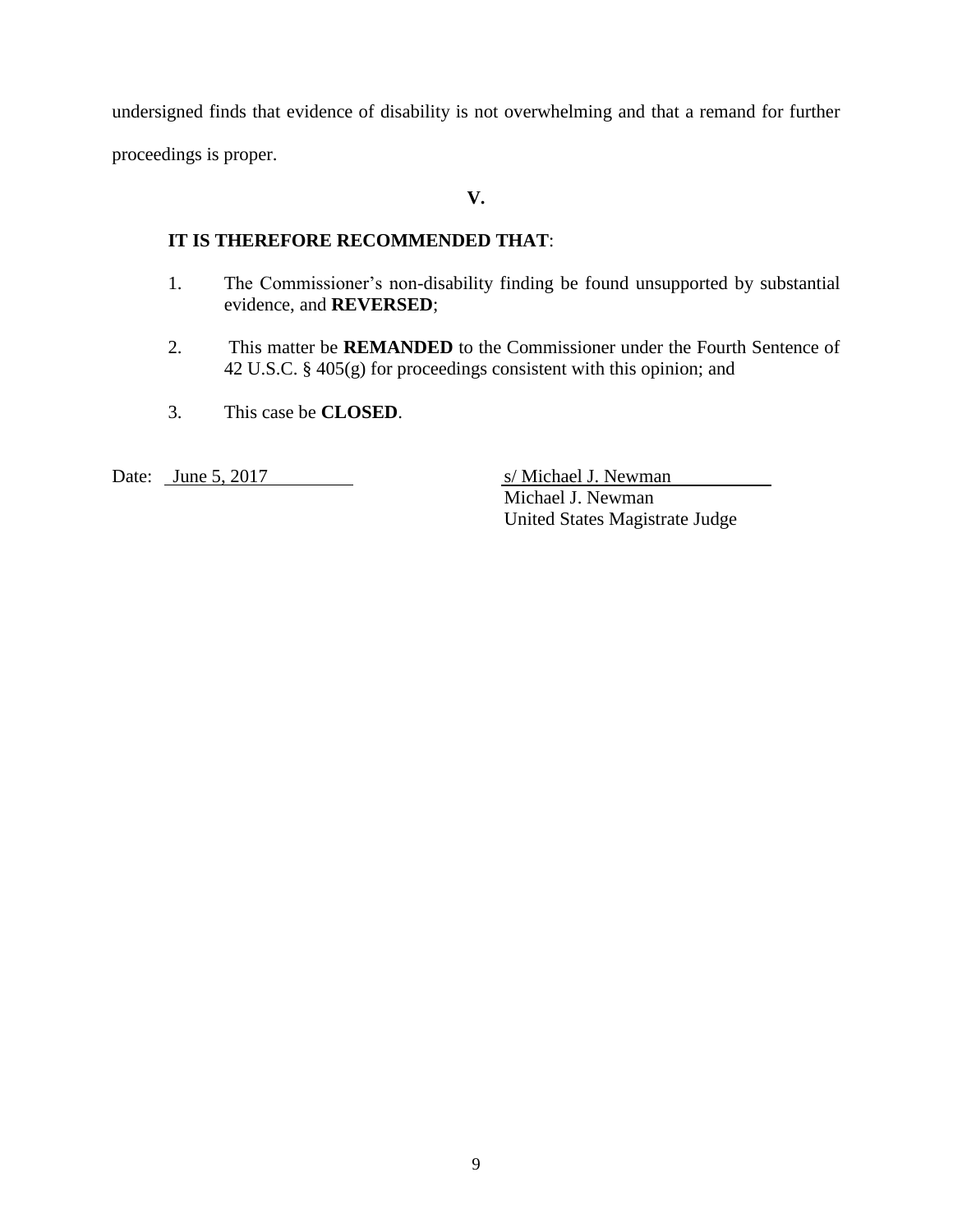undersigned finds that evidence of disability is not overwhelming and that a remand for further proceedings is proper.

# **V.**

## **IT IS THEREFORE RECOMMENDED THAT**:

- 1. The Commissioner's non-disability finding be found unsupported by substantial evidence, and **REVERSED**;
- 2. This matter be **REMANDED** to the Commissioner under the Fourth Sentence of 42 U.S.C. § 405(g) for proceedings consistent with this opinion; and
- 3. This case be **CLOSED**.

Date: <u>June 5, 2017</u> S/ Michael J. Newman Michael J. Newman United States Magistrate Judge